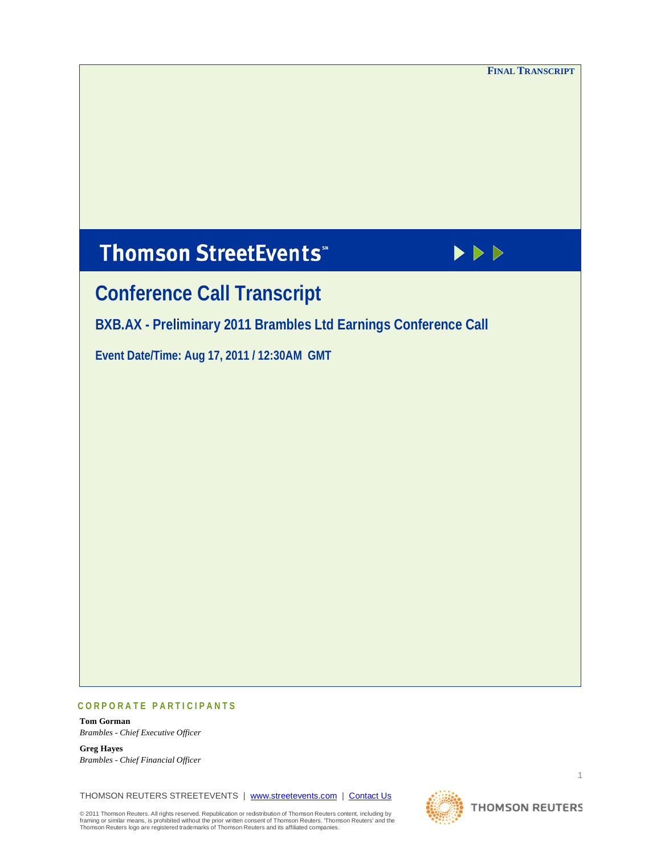**FINAL TRANSCRIPT**

# **Thomson StreetEvents**\*



# **Conference Call Transcript**

**BXB.AX - Preliminary 2011 Brambles Ltd Earnings Conference Call**

**Event Date/Time: Aug 17, 2011 / 12:30AM GMT** 

# **CORPORATE PARTICIPANTS**

**Tom Gorman** *Brambles - Chief Executive Officer*

**Greg Hayes** *Brambles - Chief Financial Officer*

THOMSON REUTERS STREETEVENTS | [www.streetevents.com](http://www.streetevents.com/) | [Contact Us](http://www010.streetevents.com/contact.asp)

© 2011 Thomson Reuters. All rights reserved. Republication or redistribution of Thomson Reuters content, including by<br>framing or similar means, is prohibited without the prior written consent of Thomson Reuters' ⊓homson R



1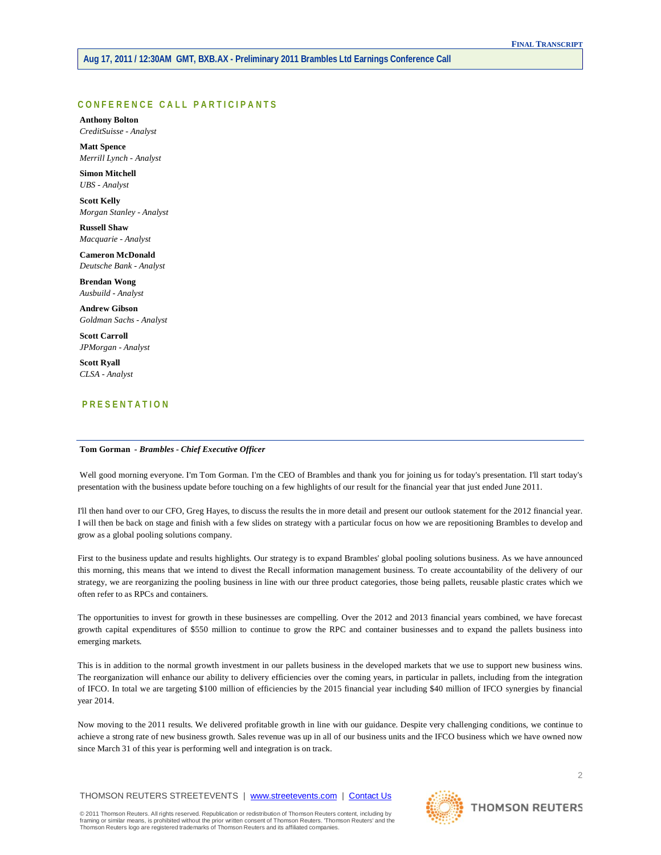# **CONFERENCE CALL PART ICIPANTS**

**Anthony Bolton** *CreditSuisse - Analyst*

**Matt Spence** *Merrill Lynch - Analyst*

**Simon Mitchell** *UBS - Analyst*

**Scott Kelly** *Morgan Stanley - Analyst*

**Russell Shaw** *Macquarie - Analyst*

**Cameron McDonald** *Deutsche Bank - Analyst*

**Brendan Wong** *Ausbuild - Analyst*

**Andrew Gibson** *Goldman Sachs - Analyst*

**Scott Carroll** *JPMorgan - Analyst*

**Scott Ryall** *CLSA - Analyst*

# **PRESENTATION**

# **Tom Gorman** *- Brambles - Chief Executive Officer*

Well good morning everyone. I'm Tom Gorman. I'm the CEO of Brambles and thank you for joining us for today's presentation. I'll start today's presentation with the business update before touching on a few highlights of our result for the financial year that just ended June 2011.

I'll then hand over to our CFO, Greg Hayes, to discuss the results the in more detail and present our outlook statement for the 2012 financial year. I will then be back on stage and finish with a few slides on strategy with a particular focus on how we are repositioning Brambles to develop and grow as a global pooling solutions company.

First to the business update and results highlights. Our strategy is to expand Brambles' global pooling solutions business. As we have announced this morning, this means that we intend to divest the Recall information management business. To create accountability of the delivery of our strategy, we are reorganizing the pooling business in line with our three product categories, those being pallets, reusable plastic crates which we often refer to as RPCs and containers.

The opportunities to invest for growth in these businesses are compelling. Over the 2012 and 2013 financial years combined, we have forecast growth capital expenditures of \$550 million to continue to grow the RPC and container businesses and to expand the pallets business into emerging markets.

This is in addition to the normal growth investment in our pallets business in the developed markets that we use to support new business wins. The reorganization will enhance our ability to delivery efficiencies over the coming years, in particular in pallets, including from the integration of IFCO. In total we are targeting \$100 million of efficiencies by the 2015 financial year including \$40 million of IFCO synergies by financial year 2014.

Now moving to the 2011 results. We delivered profitable growth in line with our guidance. Despite very challenging conditions, we continue to achieve a strong rate of new business growth. Sales revenue was up in all of our business units and the IFCO business which we have owned now since March 31 of this year is performing well and integration is on track.

THOMSON REUTERS STREETEVENTS | [www.streetevents.com](http://www.streetevents.com/) | [Contact Us](http://www010.streetevents.com/contact.asp)

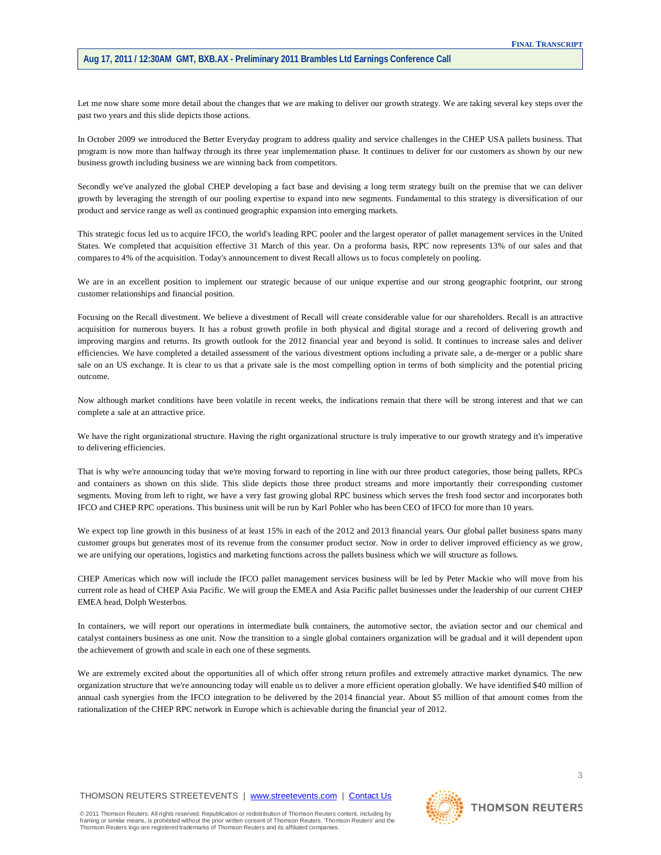Let me now share some more detail about the changes that we are making to deliver our growth strategy. We are taking several key steps over the past two years and this slide depicts those actions.

In October 2009 we introduced the Better Everyday program to address quality and service challenges in the CHEP USA pallets business. That program is now more than halfway through its three year implementation phase. It continues to deliver for our customers as shown by our new business growth including business we are winning back from competitors.

Secondly we've analyzed the global CHEP developing a fact base and devising a long term strategy built on the premise that we can deliver growth by leveraging the strength of our pooling expertise to expand into new segments. Fundamental to this strategy is diversification of our product and service range as well as continued geographic expansion into emerging markets.

This strategic focus led us to acquire IFCO, the world's leading RPC pooler and the largest operator of pallet management services in the United States. We completed that acquisition effective 31 March of this year. On a proforma basis, RPC now represents 13% of our sales and that compares to 4% of the acquisition. Today's announcement to divest Recall allows us to focus completely on pooling.

We are in an excellent position to implement our strategic because of our unique expertise and our strong geographic footprint, our strong customer relationships and financial position.

Focusing on the Recall divestment. We believe a divestment of Recall will create considerable value for our shareholders. Recall is an attractive acquisition for numerous buyers. It has a robust growth profile in both physical and digital storage and a record of delivering growth and improving margins and returns. Its growth outlook for the 2012 financial year and beyond is solid. It continues to increase sales and deliver efficiencies. We have completed a detailed assessment of the various divestment options including a private sale, a de-merger or a public share sale on an US exchange. It is clear to us that a private sale is the most compelling option in terms of both simplicity and the potential pricing outcome.

Now although market conditions have been volatile in recent weeks, the indications remain that there will be strong interest and that we can complete a sale at an attractive price.

We have the right organizational structure. Having the right organizational structure is truly imperative to our growth strategy and it's imperative to delivering efficiencies.

That is why we're announcing today that we're moving forward to reporting in line with our three product categories, those being pallets, RPCs and containers as shown on this slide. This slide depicts those three product streams and more importantly their corresponding customer segments. Moving from left to right, we have a very fast growing global RPC business which serves the fresh food sector and incorporates both IFCO and CHEP RPC operations. This business unit will be run by Karl Pohler who has been CEO of IFCO for more than 10 years.

We expect top line growth in this business of at least 15% in each of the 2012 and 2013 financial years. Our global pallet business spans many customer groups but generates most of its revenue from the consumer product sector. Now in order to deliver improved efficiency as we grow, we are unifying our operations, logistics and marketing functions across the pallets business which we will structure as follows.

CHEP Americas which now will include the IFCO pallet management services business will be led by Peter Mackie who will move from his current role as head of CHEP Asia Pacific. We will group the EMEA and Asia Pacific pallet businesses under the leadership of our current CHEP EMEA head, Dolph Westerbos.

In containers, we will report our operations in intermediate bulk containers, the automotive sector, the aviation sector and our chemical and catalyst containers business as one unit. Now the transition to a single global containers organization will be gradual and it will dependent upon the achievement of growth and scale in each one of these segments.

We are extremely excited about the opportunities all of which offer strong return profiles and extremely attractive market dynamics. The new organization structure that we're announcing today will enable us to deliver a more efficient operation globally. We have identified \$40 million of annual cash synergies from the IFCO integration to be delivered by the 2014 financial year. About \$5 million of that amount comes from the rationalization of the CHEP RPC network in Europe which is achievable during the financial year of 2012.

THOMSON REUTERS STREETEVENTS | [www.streetevents.com](http://www.streetevents.com/) | [Contact Us](http://www010.streetevents.com/contact.asp)

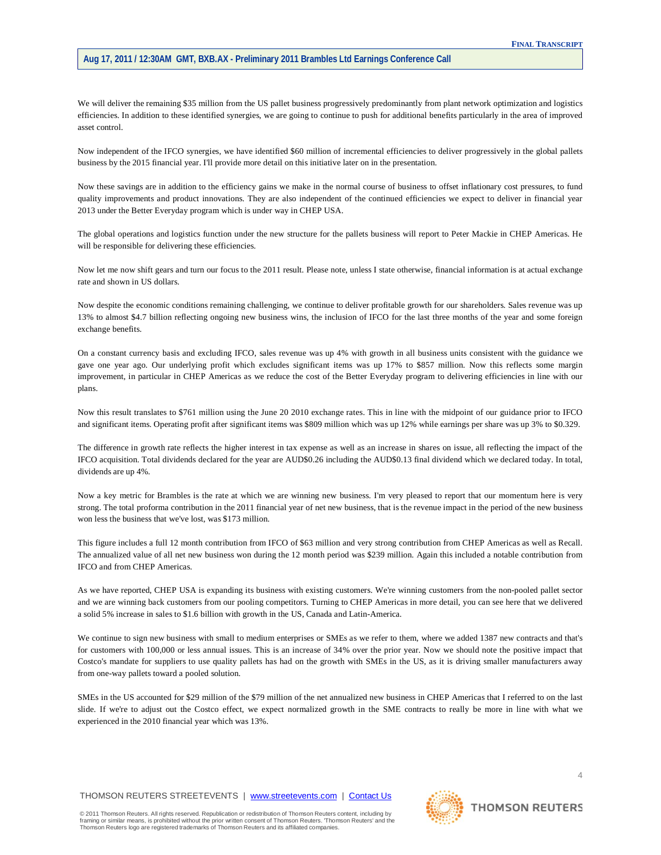We will deliver the remaining \$35 million from the US pallet business progressively predominantly from plant network optimization and logistics efficiencies. In addition to these identified synergies, we are going to continue to push for additional benefits particularly in the area of improved asset control.

Now independent of the IFCO synergies, we have identified \$60 million of incremental efficiencies to deliver progressively in the global pallets business by the 2015 financial year. I'll provide more detail on this initiative later on in the presentation.

Now these savings are in addition to the efficiency gains we make in the normal course of business to offset inflationary cost pressures, to fund quality improvements and product innovations. They are also independent of the continued efficiencies we expect to deliver in financial year 2013 under the Better Everyday program which is under way in CHEP USA.

The global operations and logistics function under the new structure for the pallets business will report to Peter Mackie in CHEP Americas. He will be responsible for delivering these efficiencies.

Now let me now shift gears and turn our focus to the 2011 result. Please note, unless I state otherwise, financial information is at actual exchange rate and shown in US dollars.

Now despite the economic conditions remaining challenging, we continue to deliver profitable growth for our shareholders. Sales revenue was up 13% to almost \$4.7 billion reflecting ongoing new business wins, the inclusion of IFCO for the last three months of the year and some foreign exchange benefits.

On a constant currency basis and excluding IFCO, sales revenue was up 4% with growth in all business units consistent with the guidance we gave one year ago. Our underlying profit which excludes significant items was up 17% to \$857 million. Now this reflects some margin improvement, in particular in CHEP Americas as we reduce the cost of the Better Everyday program to delivering efficiencies in line with our plans.

Now this result translates to \$761 million using the June 20 2010 exchange rates. This in line with the midpoint of our guidance prior to IFCO and significant items. Operating profit after significant items was \$809 million which was up 12% while earnings per share was up 3% to \$0.329.

The difference in growth rate reflects the higher interest in tax expense as well as an increase in shares on issue, all reflecting the impact of the IFCO acquisition. Total dividends declared for the year are AUD\$0.26 including the AUD\$0.13 final dividend which we declared today. In total, dividends are up 4%.

Now a key metric for Brambles is the rate at which we are winning new business. I'm very pleased to report that our momentum here is very strong. The total proforma contribution in the 2011 financial year of net new business, that is the revenue impact in the period of the new business won less the business that we've lost, was \$173 million.

This figure includes a full 12 month contribution from IFCO of \$63 million and very strong contribution from CHEP Americas as well as Recall. The annualized value of all net new business won during the 12 month period was \$239 million. Again this included a notable contribution from IFCO and from CHEP Americas.

As we have reported, CHEP USA is expanding its business with existing customers. We're winning customers from the non-pooled pallet sector and we are winning back customers from our pooling competitors. Turning to CHEP Americas in more detail, you can see here that we delivered a solid 5% increase in sales to \$1.6 billion with growth in the US, Canada and Latin-America.

We continue to sign new business with small to medium enterprises or SMEs as we refer to them, where we added 1387 new contracts and that's for customers with 100,000 or less annual issues. This is an increase of 34% over the prior year. Now we should note the positive impact that Costco's mandate for suppliers to use quality pallets has had on the growth with SMEs in the US, as it is driving smaller manufacturers away from one-way pallets toward a pooled solution.

SMEs in the US accounted for \$29 million of the \$79 million of the net annualized new business in CHEP Americas that I referred to on the last slide. If we're to adjust out the Costco effect, we expect normalized growth in the SME contracts to really be more in line with what we experienced in the 2010 financial year which was 13%.



4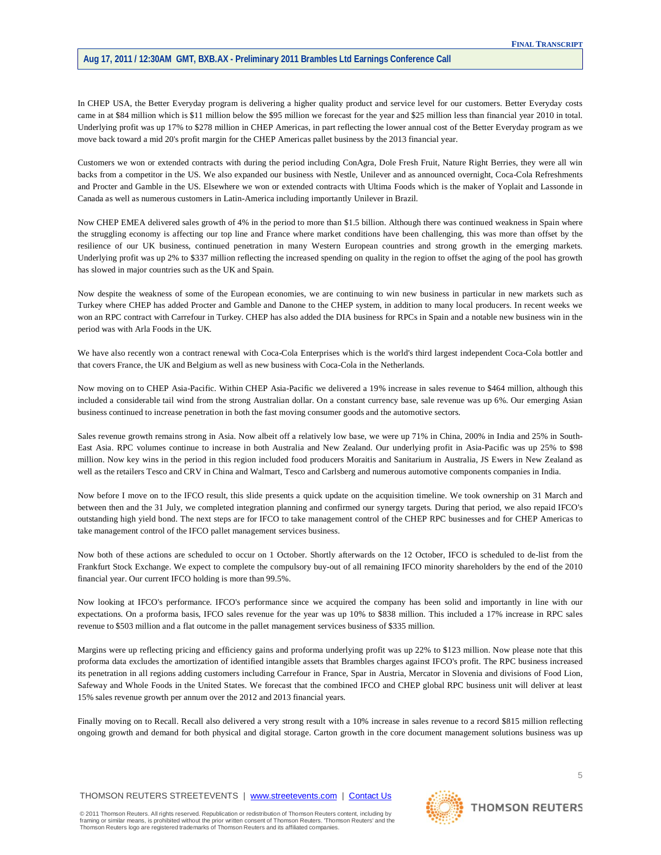In CHEP USA, the Better Everyday program is delivering a higher quality product and service level for our customers. Better Everyday costs came in at \$84 million which is \$11 million below the \$95 million we forecast for the year and \$25 million less than financial year 2010 in total. Underlying profit was up 17% to \$278 million in CHEP Americas, in part reflecting the lower annual cost of the Better Everyday program as we move back toward a mid 20's profit margin for the CHEP Americas pallet business by the 2013 financial year.

Customers we won or extended contracts with during the period including ConAgra, Dole Fresh Fruit, Nature Right Berries, they were all win backs from a competitor in the US. We also expanded our business with Nestle, Unilever and as announced overnight, Coca-Cola Refreshments and Procter and Gamble in the US. Elsewhere we won or extended contracts with Ultima Foods which is the maker of Yoplait and Lassonde in Canada as well as numerous customers in Latin-America including importantly Unilever in Brazil.

Now CHEP EMEA delivered sales growth of 4% in the period to more than \$1.5 billion. Although there was continued weakness in Spain where the struggling economy is affecting our top line and France where market conditions have been challenging, this was more than offset by the resilience of our UK business, continued penetration in many Western European countries and strong growth in the emerging markets. Underlying profit was up 2% to \$337 million reflecting the increased spending on quality in the region to offset the aging of the pool has growth has slowed in major countries such as the UK and Spain.

Now despite the weakness of some of the European economies, we are continuing to win new business in particular in new markets such as Turkey where CHEP has added Procter and Gamble and Danone to the CHEP system, in addition to many local producers. In recent weeks we won an RPC contract with Carrefour in Turkey. CHEP has also added the DIA business for RPCs in Spain and a notable new business win in the period was with Arla Foods in the UK.

We have also recently won a contract renewal with Coca-Cola Enterprises which is the world's third largest independent Coca-Cola bottler and that covers France, the UK and Belgium as well as new business with Coca-Cola in the Netherlands.

Now moving on to CHEP Asia-Pacific. Within CHEP Asia-Pacific we delivered a 19% increase in sales revenue to \$464 million, although this included a considerable tail wind from the strong Australian dollar. On a constant currency base, sale revenue was up 6%. Our emerging Asian business continued to increase penetration in both the fast moving consumer goods and the automotive sectors.

Sales revenue growth remains strong in Asia. Now albeit off a relatively low base, we were up 71% in China, 200% in India and 25% in South-East Asia. RPC volumes continue to increase in both Australia and New Zealand. Our underlying profit in Asia-Pacific was up 25% to \$98 million. Now key wins in the period in this region included food producers Moraitis and Sanitarium in Australia, JS Ewers in New Zealand as well as the retailers Tesco and CRV in China and Walmart, Tesco and Carlsberg and numerous automotive components companies in India.

Now before I move on to the IFCO result, this slide presents a quick update on the acquisition timeline. We took ownership on 31 March and between then and the 31 July, we completed integration planning and confirmed our synergy targets. During that period, we also repaid IFCO's outstanding high yield bond. The next steps are for IFCO to take management control of the CHEP RPC businesses and for CHEP Americas to take management control of the IFCO pallet management services business.

Now both of these actions are scheduled to occur on 1 October. Shortly afterwards on the 12 October, IFCO is scheduled to de-list from the Frankfurt Stock Exchange. We expect to complete the compulsory buy-out of all remaining IFCO minority shareholders by the end of the 2010 financial year. Our current IFCO holding is more than 99.5%.

Now looking at IFCO's performance. IFCO's performance since we acquired the company has been solid and importantly in line with our expectations. On a proforma basis, IFCO sales revenue for the year was up 10% to \$838 million. This included a 17% increase in RPC sales revenue to \$503 million and a flat outcome in the pallet management services business of \$335 million.

Margins were up reflecting pricing and efficiency gains and proforma underlying profit was up 22% to \$123 million. Now please note that this proforma data excludes the amortization of identified intangible assets that Brambles charges against IFCO's profit. The RPC business increased its penetration in all regions adding customers including Carrefour in France, Spar in Austria, Mercator in Slovenia and divisions of Food Lion, Safeway and Whole Foods in the United States. We forecast that the combined IFCO and CHEP global RPC business unit will deliver at least 15% sales revenue growth per annum over the 2012 and 2013 financial years.

Finally moving on to Recall. Recall also delivered a very strong result with a 10% increase in sales revenue to a record \$815 million reflecting ongoing growth and demand for both physical and digital storage. Carton growth in the core document management solutions business was up

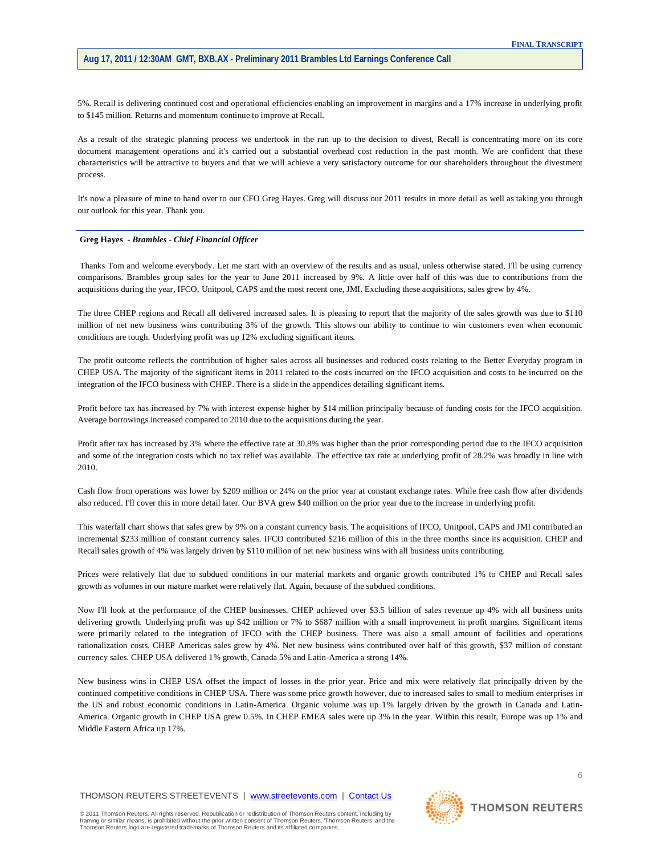5%. Recall is delivering continued cost and operational efficiencies enabling an improvement in margins and a 17% increase in underlying profit to \$145 million. Returns and momentum continue to improve at Recall.

As a result of the strategic planning process we undertook in the run up to the decision to divest, Recall is concentrating more on its core document management operations and it's carried out a substantial overhead cost reduction in the past month. We are confident that these characteristics will be attractive to buyers and that we will achieve a very satisfactory outcome for our shareholders throughout the divestment process.

It's now a pleasure of mine to hand over to our CFO Greg Hayes. Greg will discuss our 2011 results in more detail as well as taking you through our outlook for this year. Thank you.

## **Greg Hayes** *- Brambles - Chief Financial Officer*

Thanks Tom and welcome everybody. Let me start with an overview of the results and as usual, unless otherwise stated, I'll be using currency comparisons. Brambles group sales for the year to June 2011 increased by 9%. A little over half of this was due to contributions from the acquisitions during the year, IFCO, Unitpool, CAPS and the most recent one, JMI. Excluding these acquisitions, sales grew by 4%.

The three CHEP regions and Recall all delivered increased sales. It is pleasing to report that the majority of the sales growth was due to \$110 million of net new business wins contributing 3% of the growth. This shows our ability to continue to win customers even when economic conditions are tough. Underlying profit was up 12% excluding significant items.

The profit outcome reflects the contribution of higher sales across all businesses and reduced costs relating to the Better Everyday program in CHEP USA. The majority of the significant items in 2011 related to the costs incurred on the IFCO acquisition and costs to be incurred on the integration of the IFCO business with CHEP. There is a slide in the appendices detailing significant items.

Profit before tax has increased by 7% with interest expense higher by \$14 million principally because of funding costs for the IFCO acquisition. Average borrowings increased compared to 2010 due to the acquisitions during the year.

Profit after tax has increased by 3% where the effective rate at 30.8% was higher than the prior corresponding period due to the IFCO acquisition and some of the integration costs which no tax relief was available. The effective tax rate at underlying profit of 28.2% was broadly in line with 2010.

Cash flow from operations was lower by \$209 million or 24% on the prior year at constant exchange rates. While free cash flow after dividends also reduced. I'll cover this in more detail later. Our BVA grew \$40 million on the prior year due to the increase in underlying profit.

This waterfall chart shows that sales grew by 9% on a constant currency basis. The acquisitions of IFCO, Unitpool, CAPS and JMI contributed an incremental \$233 million of constant currency sales. IFCO contributed \$216 million of this in the three months since its acquisition. CHEP and Recall sales growth of 4% was largely driven by \$110 million of net new business wins with all business units contributing.

Prices were relatively flat due to subdued conditions in our material markets and organic growth contributed 1% to CHEP and Recall sales growth as volumes in our mature market were relatively flat. Again, because of the subdued conditions.

Now I'll look at the performance of the CHEP businesses. CHEP achieved over \$3.5 billion of sales revenue up 4% with all business units delivering growth. Underlying profit was up \$42 million or 7% to \$687 million with a small improvement in profit margins. Significant items were primarily related to the integration of IFCO with the CHEP business. There was also a small amount of facilities and operations rationalization costs. CHEP Americas sales grew by 4%. Net new business wins contributed over half of this growth, \$37 million of constant currency sales. CHEP USA delivered 1% growth, Canada 5% and Latin-America a strong 14%.

New business wins in CHEP USA offset the impact of losses in the prior year. Price and mix were relatively flat principally driven by the continued competitive conditions in CHEP USA. There was some price growth however, due to increased sales to small to medium enterprises in the US and robust economic conditions in Latin-America. Organic volume was up 1% largely driven by the growth in Canada and Latin-America. Organic growth in CHEP USA grew 0.5%. In CHEP EMEA sales were up 3% in the year. Within this result, Europe was up 1% and Middle Eastern Africa up 17%.

THOMSON REUTERS STREETEVENTS | [www.streetevents.com](http://www.streetevents.com/) | [Contact Us](http://www010.streetevents.com/contact.asp)

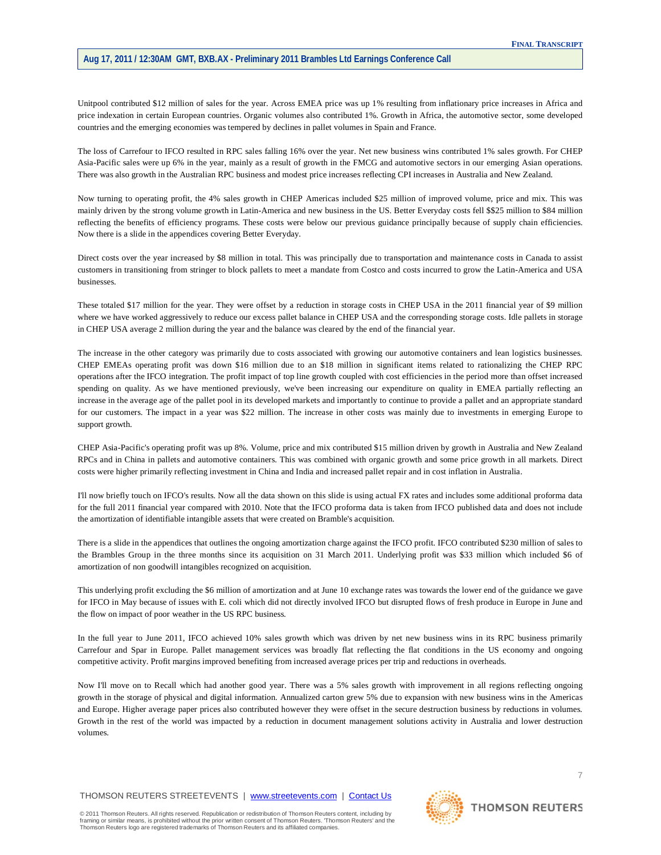Unitpool contributed \$12 million of sales for the year. Across EMEA price was up 1% resulting from inflationary price increases in Africa and price indexation in certain European countries. Organic volumes also contributed 1%. Growth in Africa, the automotive sector, some developed countries and the emerging economies was tempered by declines in pallet volumes in Spain and France.

The loss of Carrefour to IFCO resulted in RPC sales falling 16% over the year. Net new business wins contributed 1% sales growth. For CHEP Asia-Pacific sales were up 6% in the year, mainly as a result of growth in the FMCG and automotive sectors in our emerging Asian operations. There was also growth in the Australian RPC business and modest price increases reflecting CPI increases in Australia and New Zealand.

Now turning to operating profit, the 4% sales growth in CHEP Americas included \$25 million of improved volume, price and mix. This was mainly driven by the strong volume growth in Latin-America and new business in the US. Better Everyday costs fell \$\$25 million to \$84 million reflecting the benefits of efficiency programs. These costs were below our previous guidance principally because of supply chain efficiencies. Now there is a slide in the appendices covering Better Everyday.

Direct costs over the year increased by \$8 million in total. This was principally due to transportation and maintenance costs in Canada to assist customers in transitioning from stringer to block pallets to meet a mandate from Costco and costs incurred to grow the Latin-America and USA businesses.

These totaled \$17 million for the year. They were offset by a reduction in storage costs in CHEP USA in the 2011 financial year of \$9 million where we have worked aggressively to reduce our excess pallet balance in CHEP USA and the corresponding storage costs. Idle pallets in storage in CHEP USA average 2 million during the year and the balance was cleared by the end of the financial year.

The increase in the other category was primarily due to costs associated with growing our automotive containers and lean logistics businesses. CHEP EMEAs operating profit was down \$16 million due to an \$18 million in significant items related to rationalizing the CHEP RPC operations after the IFCO integration. The profit impact of top line growth coupled with cost efficiencies in the period more than offset increased spending on quality. As we have mentioned previously, we've been increasing our expenditure on quality in EMEA partially reflecting an increase in the average age of the pallet pool in its developed markets and importantly to continue to provide a pallet and an appropriate standard for our customers. The impact in a year was \$22 million. The increase in other costs was mainly due to investments in emerging Europe to support growth.

CHEP Asia-Pacific's operating profit was up 8%. Volume, price and mix contributed \$15 million driven by growth in Australia and New Zealand RPCs and in China in pallets and automotive containers. This was combined with organic growth and some price growth in all markets. Direct costs were higher primarily reflecting investment in China and India and increased pallet repair and in cost inflation in Australia.

I'll now briefly touch on IFCO's results. Now all the data shown on this slide is using actual FX rates and includes some additional proforma data for the full 2011 financial year compared with 2010. Note that the IFCO proforma data is taken from IFCO published data and does not include the amortization of identifiable intangible assets that were created on Bramble's acquisition.

There is a slide in the appendices that outlines the ongoing amortization charge against the IFCO profit. IFCO contributed \$230 million of sales to the Brambles Group in the three months since its acquisition on 31 March 2011. Underlying profit was \$33 million which included \$6 of amortization of non goodwill intangibles recognized on acquisition.

This underlying profit excluding the \$6 million of amortization and at June 10 exchange rates was towards the lower end of the guidance we gave for IFCO in May because of issues with E. coli which did not directly involved IFCO but disrupted flows of fresh produce in Europe in June and the flow on impact of poor weather in the US RPC business.

In the full year to June 2011, IFCO achieved 10% sales growth which was driven by net new business wins in its RPC business primarily Carrefour and Spar in Europe. Pallet management services was broadly flat reflecting the flat conditions in the US economy and ongoing competitive activity. Profit margins improved benefiting from increased average prices per trip and reductions in overheads.

Now I'll move on to Recall which had another good year. There was a 5% sales growth with improvement in all regions reflecting ongoing growth in the storage of physical and digital information. Annualized carton grew 5% due to expansion with new business wins in the Americas and Europe. Higher average paper prices also contributed however they were offset in the secure destruction business by reductions in volumes. Growth in the rest of the world was impacted by a reduction in document management solutions activity in Australia and lower destruction volumes.

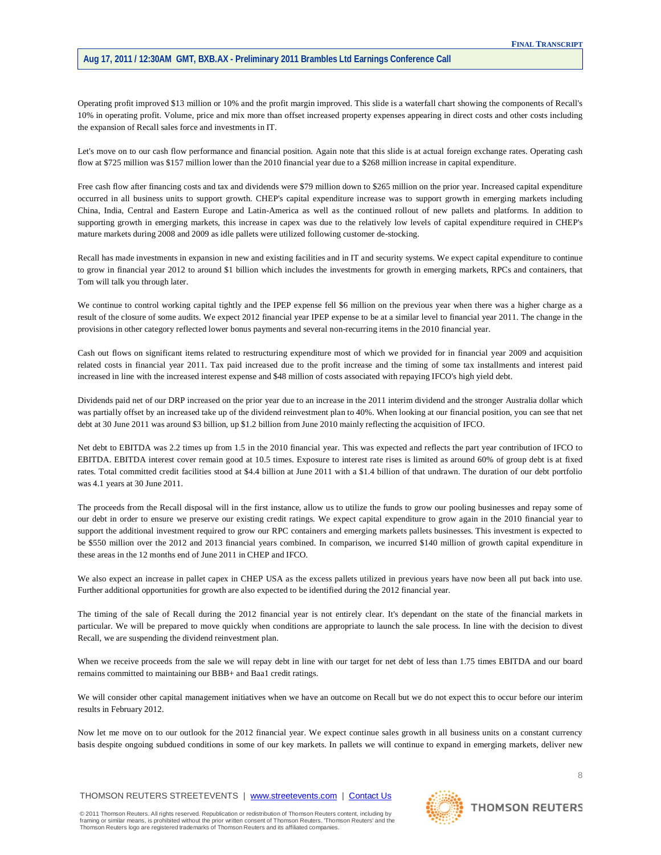Operating profit improved \$13 million or 10% and the profit margin improved. This slide is a waterfall chart showing the components of Recall's 10% in operating profit. Volume, price and mix more than offset increased property expenses appearing in direct costs and other costs including the expansion of Recall sales force and investments in IT.

Let's move on to our cash flow performance and financial position. Again note that this slide is at actual foreign exchange rates. Operating cash flow at \$725 million was \$157 million lower than the 2010 financial year due to a \$268 million increase in capital expenditure.

Free cash flow after financing costs and tax and dividends were \$79 million down to \$265 million on the prior year. Increased capital expenditure occurred in all business units to support growth. CHEP's capital expenditure increase was to support growth in emerging markets including China, India, Central and Eastern Europe and Latin-America as well as the continued rollout of new pallets and platforms. In addition to supporting growth in emerging markets, this increase in capex was due to the relatively low levels of capital expenditure required in CHEP's mature markets during 2008 and 2009 as idle pallets were utilized following customer de-stocking.

Recall has made investments in expansion in new and existing facilities and in IT and security systems. We expect capital expenditure to continue to grow in financial year 2012 to around \$1 billion which includes the investments for growth in emerging markets, RPCs and containers, that Tom will talk you through later.

We continue to control working capital tightly and the IPEP expense fell \$6 million on the previous year when there was a higher charge as a result of the closure of some audits. We expect 2012 financial year IPEP expense to be at a similar level to financial year 2011. The change in the provisions in other category reflected lower bonus payments and several non-recurring items in the 2010 financial year.

Cash out flows on significant items related to restructuring expenditure most of which we provided for in financial year 2009 and acquisition related costs in financial year 2011. Tax paid increased due to the profit increase and the timing of some tax installments and interest paid increased in line with the increased interest expense and \$48 million of costs associated with repaying IFCO's high yield debt.

Dividends paid net of our DRP increased on the prior year due to an increase in the 2011 interim dividend and the stronger Australia dollar which was partially offset by an increased take up of the dividend reinvestment plan to 40%. When looking at our financial position, you can see that net debt at 30 June 2011 was around \$3 billion, up \$1.2 billion from June 2010 mainly reflecting the acquisition of IFCO.

Net debt to EBITDA was 2.2 times up from 1.5 in the 2010 financial year. This was expected and reflects the part year contribution of IFCO to EBITDA. EBITDA interest cover remain good at 10.5 times. Exposure to interest rate rises is limited as around 60% of group debt is at fixed rates. Total committed credit facilities stood at \$4.4 billion at June 2011 with a \$1.4 billion of that undrawn. The duration of our debt portfolio was 4.1 years at 30 June 2011.

The proceeds from the Recall disposal will in the first instance, allow us to utilize the funds to grow our pooling businesses and repay some of our debt in order to ensure we preserve our existing credit ratings. We expect capital expenditure to grow again in the 2010 financial year to support the additional investment required to grow our RPC containers and emerging markets pallets businesses. This investment is expected to be \$550 million over the 2012 and 2013 financial years combined. In comparison, we incurred \$140 million of growth capital expenditure in these areas in the 12 months end of June 2011 in CHEP and IFCO.

We also expect an increase in pallet capex in CHEP USA as the excess pallets utilized in previous years have now been all put back into use. Further additional opportunities for growth are also expected to be identified during the 2012 financial year.

The timing of the sale of Recall during the 2012 financial year is not entirely clear. It's dependant on the state of the financial markets in particular. We will be prepared to move quickly when conditions are appropriate to launch the sale process. In line with the decision to divest Recall, we are suspending the dividend reinvestment plan.

When we receive proceeds from the sale we will repay debt in line with our target for net debt of less than 1.75 times EBITDA and our board remains committed to maintaining our BBB+ and Baa1 credit ratings.

We will consider other capital management initiatives when we have an outcome on Recall but we do not expect this to occur before our interim results in February 2012.

Now let me move on to our outlook for the 2012 financial year. We expect continue sales growth in all business units on a constant currency basis despite ongoing subdued conditions in some of our key markets. In pallets we will continue to expand in emerging markets, deliver new

THOMSON REUTERS STREETEVENTS | [www.streetevents.com](http://www.streetevents.com/) | [Contact Us](http://www010.streetevents.com/contact.asp)

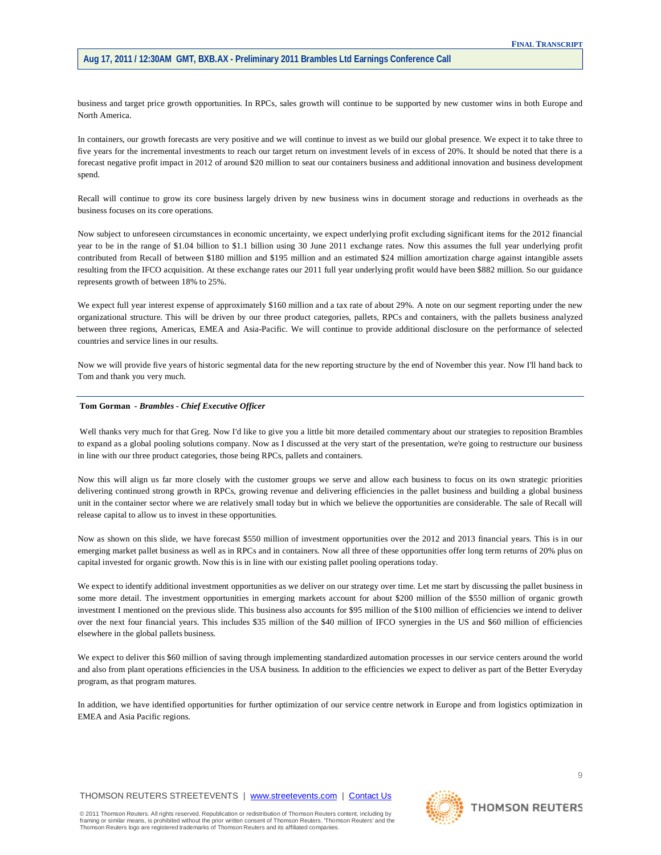business and target price growth opportunities. In RPCs, sales growth will continue to be supported by new customer wins in both Europe and North America.

In containers, our growth forecasts are very positive and we will continue to invest as we build our global presence. We expect it to take three to five years for the incremental investments to reach our target return on investment levels of in excess of 20%. It should be noted that there is a forecast negative profit impact in 2012 of around \$20 million to seat our containers business and additional innovation and business development spend.

Recall will continue to grow its core business largely driven by new business wins in document storage and reductions in overheads as the business focuses on its core operations.

Now subject to unforeseen circumstances in economic uncertainty, we expect underlying profit excluding significant items for the 2012 financial year to be in the range of \$1.04 billion to \$1.1 billion using 30 June 2011 exchange rates. Now this assumes the full year underlying profit contributed from Recall of between \$180 million and \$195 million and an estimated \$24 million amortization charge against intangible assets resulting from the IFCO acquisition. At these exchange rates our 2011 full year underlying profit would have been \$882 million. So our guidance represents growth of between 18% to 25%.

We expect full year interest expense of approximately \$160 million and a tax rate of about 29%. A note on our segment reporting under the new organizational structure. This will be driven by our three product categories, pallets, RPCs and containers, with the pallets business analyzed between three regions, Americas, EMEA and Asia-Pacific. We will continue to provide additional disclosure on the performance of selected countries and service lines in our results.

Now we will provide five years of historic segmental data for the new reporting structure by the end of November this year. Now I'll hand back to Tom and thank you very much.

#### **Tom Gorman** *- Brambles - Chief Executive Officer*

Well thanks very much for that Greg. Now I'd like to give you a little bit more detailed commentary about our strategies to reposition Brambles to expand as a global pooling solutions company. Now as I discussed at the very start of the presentation, we're going to restructure our business in line with our three product categories, those being RPCs, pallets and containers.

Now this will align us far more closely with the customer groups we serve and allow each business to focus on its own strategic priorities delivering continued strong growth in RPCs, growing revenue and delivering efficiencies in the pallet business and building a global business unit in the container sector where we are relatively small today but in which we believe the opportunities are considerable. The sale of Recall will release capital to allow us to invest in these opportunities.

Now as shown on this slide, we have forecast \$550 million of investment opportunities over the 2012 and 2013 financial years. This is in our emerging market pallet business as well as in RPCs and in containers. Now all three of these opportunities offer long term returns of 20% plus on capital invested for organic growth. Now this is in line with our existing pallet pooling operations today.

We expect to identify additional investment opportunities as we deliver on our strategy over time. Let me start by discussing the pallet business in some more detail. The investment opportunities in emerging markets account for about \$200 million of the \$550 million of organic growth investment I mentioned on the previous slide. This business also accounts for \$95 million of the \$100 million of efficiencies we intend to deliver over the next four financial years. This includes \$35 million of the \$40 million of IFCO synergies in the US and \$60 million of efficiencies elsewhere in the global pallets business.

We expect to deliver this \$60 million of saving through implementing standardized automation processes in our service centers around the world and also from plant operations efficiencies in the USA business. In addition to the efficiencies we expect to deliver as part of the Better Everyday program, as that program matures.

In addition, we have identified opportunities for further optimization of our service centre network in Europe and from logistics optimization in EMEA and Asia Pacific regions.

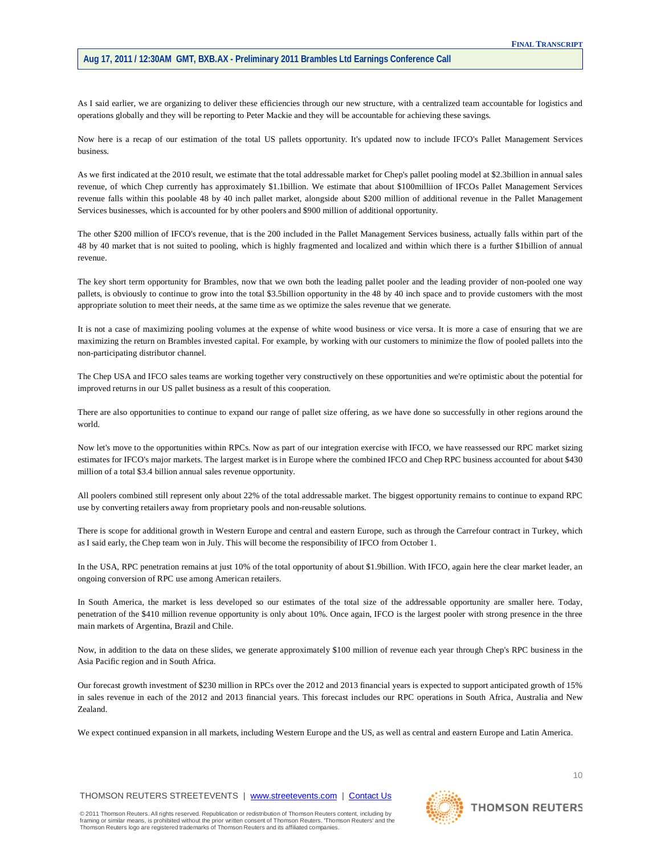As I said earlier, we are organizing to deliver these efficiencies through our new structure, with a centralized team accountable for logistics and operations globally and they will be reporting to Peter Mackie and they will be accountable for achieving these savings.

Now here is a recap of our estimation of the total US pallets opportunity. It's updated now to include IFCO's Pallet Management Services business.

As we first indicated at the 2010 result, we estimate that the total addressable market for Chep's pallet pooling model at \$2.3billion in annual sales revenue, of which Chep currently has approximately \$1.1billion. We estimate that about \$100milliion of IFCOs Pallet Management Services revenue falls within this poolable 48 by 40 inch pallet market, alongside about \$200 million of additional revenue in the Pallet Management Services businesses, which is accounted for by other poolers and \$900 million of additional opportunity.

The other \$200 million of IFCO's revenue, that is the 200 included in the Pallet Management Services business, actually falls within part of the 48 by 40 market that is not suited to pooling, which is highly fragmented and localized and within which there is a further \$1billion of annual revenue.

The key short term opportunity for Brambles, now that we own both the leading pallet pooler and the leading provider of non-pooled one way pallets, is obviously to continue to grow into the total \$3.5billion opportunity in the 48 by 40 inch space and to provide customers with the most appropriate solution to meet their needs, at the same time as we optimize the sales revenue that we generate.

It is not a case of maximizing pooling volumes at the expense of white wood business or vice versa. It is more a case of ensuring that we are maximizing the return on Brambles invested capital. For example, by working with our customers to minimize the flow of pooled pallets into the non-participating distributor channel.

The Chep USA and IFCO sales teams are working together very constructively on these opportunities and we're optimistic about the potential for improved returns in our US pallet business as a result of this cooperation.

There are also opportunities to continue to expand our range of pallet size offering, as we have done so successfully in other regions around the world.

Now let's move to the opportunities within RPCs. Now as part of our integration exercise with IFCO, we have reassessed our RPC market sizing estimates for IFCO's major markets. The largest market is in Europe where the combined IFCO and Chep RPC business accounted for about \$430 million of a total \$3.4 billion annual sales revenue opportunity.

All poolers combined still represent only about 22% of the total addressable market. The biggest opportunity remains to continue to expand RPC use by converting retailers away from proprietary pools and non-reusable solutions.

There is scope for additional growth in Western Europe and central and eastern Europe, such as through the Carrefour contract in Turkey, which as I said early, the Chep team won in July. This will become the responsibility of IFCO from October 1.

In the USA, RPC penetration remains at just 10% of the total opportunity of about \$1.9billion. With IFCO, again here the clear market leader, an ongoing conversion of RPC use among American retailers.

In South America, the market is less developed so our estimates of the total size of the addressable opportunity are smaller here. Today, penetration of the \$410 million revenue opportunity is only about 10%. Once again, IFCO is the largest pooler with strong presence in the three main markets of Argentina, Brazil and Chile.

Now, in addition to the data on these slides, we generate approximately \$100 million of revenue each year through Chep's RPC business in the Asia Pacific region and in South Africa.

Our forecast growth investment of \$230 million in RPCs over the 2012 and 2013 financial years is expected to support anticipated growth of 15% in sales revenue in each of the 2012 and 2013 financial years. This forecast includes our RPC operations in South Africa, Australia and New Zealand.

We expect continued expansion in all markets, including Western Europe and the US, as well as central and eastern Europe and Latin America.

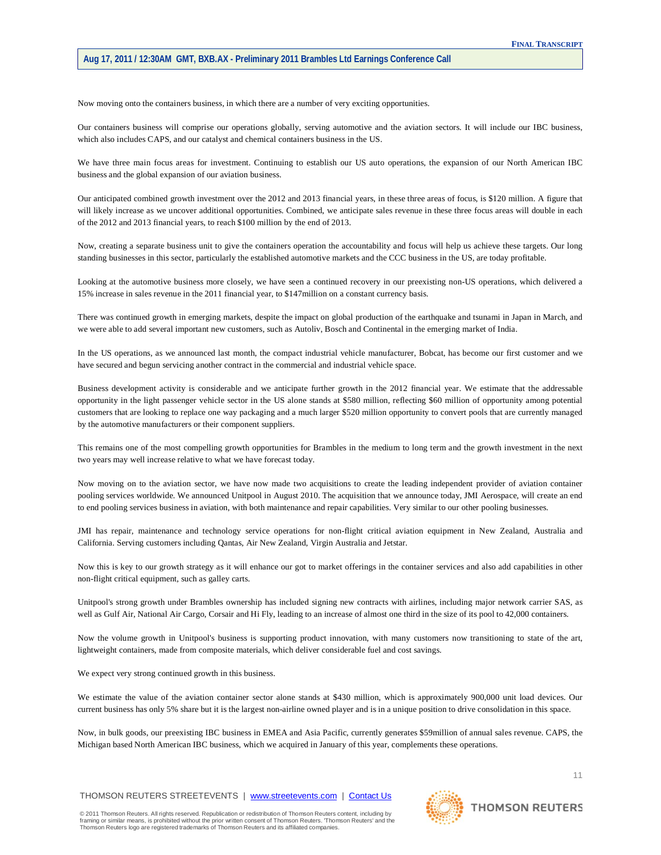Now moving onto the containers business, in which there are a number of very exciting opportunities.

Our containers business will comprise our operations globally, serving automotive and the aviation sectors. It will include our IBC business, which also includes CAPS, and our catalyst and chemical containers business in the US.

We have three main focus areas for investment. Continuing to establish our US auto operations, the expansion of our North American IBC business and the global expansion of our aviation business.

Our anticipated combined growth investment over the 2012 and 2013 financial years, in these three areas of focus, is \$120 million. A figure that will likely increase as we uncover additional opportunities. Combined, we anticipate sales revenue in these three focus areas will double in each of the 2012 and 2013 financial years, to reach \$100 million by the end of 2013.

Now, creating a separate business unit to give the containers operation the accountability and focus will help us achieve these targets. Our long standing businesses in this sector, particularly the established automotive markets and the CCC business in the US, are today profitable.

Looking at the automotive business more closely, we have seen a continued recovery in our preexisting non-US operations, which delivered a 15% increase in sales revenue in the 2011 financial year, to \$147million on a constant currency basis.

There was continued growth in emerging markets, despite the impact on global production of the earthquake and tsunami in Japan in March, and we were able to add several important new customers, such as Autoliv, Bosch and Continental in the emerging market of India.

In the US operations, as we announced last month, the compact industrial vehicle manufacturer, Bobcat, has become our first customer and we have secured and begun servicing another contract in the commercial and industrial vehicle space.

Business development activity is considerable and we anticipate further growth in the 2012 financial year. We estimate that the addressable opportunity in the light passenger vehicle sector in the US alone stands at \$580 million, reflecting \$60 million of opportunity among potential customers that are looking to replace one way packaging and a much larger \$520 million opportunity to convert pools that are currently managed by the automotive manufacturers or their component suppliers.

This remains one of the most compelling growth opportunities for Brambles in the medium to long term and the growth investment in the next two years may well increase relative to what we have forecast today.

Now moving on to the aviation sector, we have now made two acquisitions to create the leading independent provider of aviation container pooling services worldwide. We announced Unitpool in August 2010. The acquisition that we announce today, JMI Aerospace, will create an end to end pooling services business in aviation, with both maintenance and repair capabilities. Very similar to our other pooling businesses.

JMI has repair, maintenance and technology service operations for non-flight critical aviation equipment in New Zealand, Australia and California. Serving customers including Qantas, Air New Zealand, Virgin Australia and Jetstar.

Now this is key to our growth strategy as it will enhance our got to market offerings in the container services and also add capabilities in other non-flight critical equipment, such as galley carts.

Unitpool's strong growth under Brambles ownership has included signing new contracts with airlines, including major network carrier SAS, as well as Gulf Air, National Air Cargo, Corsair and Hi Fly, leading to an increase of almost one third in the size of its pool to 42,000 containers.

Now the volume growth in Unitpool's business is supporting product innovation, with many customers now transitioning to state of the art, lightweight containers, made from composite materials, which deliver considerable fuel and cost savings.

We expect very strong continued growth in this business.

We estimate the value of the aviation container sector alone stands at \$430 million, which is approximately 900,000 unit load devices. Our current business has only 5% share but it is the largest non-airline owned player and is in a unique position to drive consolidation in this space.

Now, in bulk goods, our preexisting IBC business in EMEA and Asia Pacific, currently generates \$59million of annual sales revenue. CAPS, the Michigan based North American IBC business, which we acquired in January of this year, complements these operations.

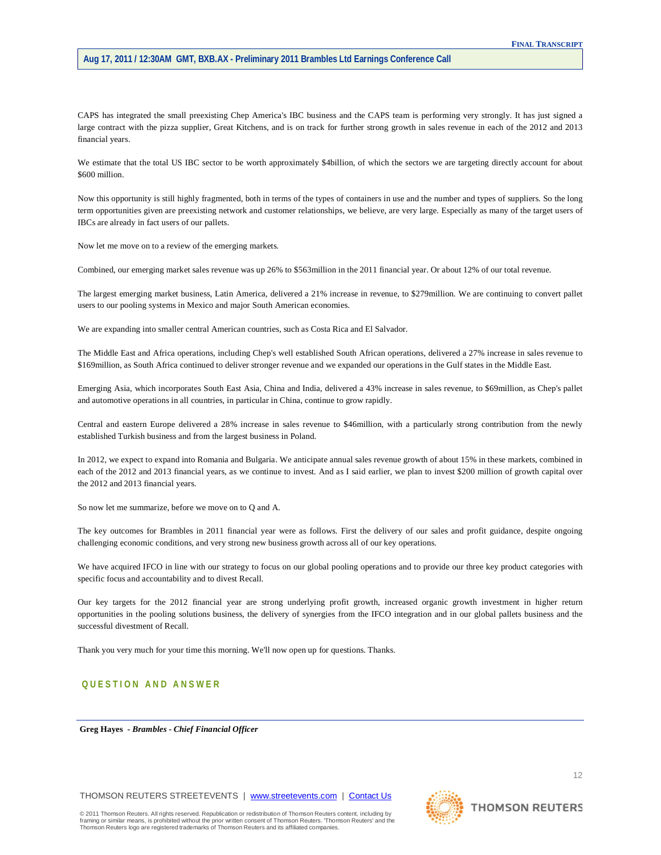CAPS has integrated the small preexisting Chep America's IBC business and the CAPS team is performing very strongly. It has just signed a large contract with the pizza supplier, Great Kitchens, and is on track for further strong growth in sales revenue in each of the 2012 and 2013 financial years.

We estimate that the total US IBC sector to be worth approximately \$4billion, of which the sectors we are targeting directly account for about \$600 million.

Now this opportunity is still highly fragmented, both in terms of the types of containers in use and the number and types of suppliers. So the long term opportunities given are preexisting network and customer relationships, we believe, are very large. Especially as many of the target users of IBCs are already in fact users of our pallets.

Now let me move on to a review of the emerging markets.

Combined, our emerging market sales revenue was up 26% to \$563million in the 2011 financial year. Or about 12% of our total revenue.

The largest emerging market business, Latin America, delivered a 21% increase in revenue, to \$279million. We are continuing to convert pallet users to our pooling systems in Mexico and major South American economies.

We are expanding into smaller central American countries, such as Costa Rica and El Salvador.

The Middle East and Africa operations, including Chep's well established South African operations, delivered a 27% increase in sales revenue to \$169million, as South Africa continued to deliver stronger revenue and we expanded our operations in the Gulf states in the Middle East.

Emerging Asia, which incorporates South East Asia, China and India, delivered a 43% increase in sales revenue, to \$69million, as Chep's pallet and automotive operations in all countries, in particular in China, continue to grow rapidly.

Central and eastern Europe delivered a 28% increase in sales revenue to \$46million, with a particularly strong contribution from the newly established Turkish business and from the largest business in Poland.

In 2012, we expect to expand into Romania and Bulgaria. We anticipate annual sales revenue growth of about 15% in these markets, combined in each of the 2012 and 2013 financial years, as we continue to invest. And as I said earlier, we plan to invest \$200 million of growth capital over the 2012 and 2013 financial years.

So now let me summarize, before we move on to Q and A.

The key outcomes for Brambles in 2011 financial year were as follows. First the delivery of our sales and profit guidance, despite ongoing challenging economic conditions, and very strong new business growth across all of our key operations.

We have acquired IFCO in line with our strategy to focus on our global pooling operations and to provide our three key product categories with specific focus and accountability and to divest Recall.

Our key targets for the 2012 financial year are strong underlying profit growth, increased organic growth investment in higher return opportunities in the pooling solutions business, the delivery of synergies from the IFCO integration and in our global pallets business and the successful divestment of Recall.

Thank you very much for your time this morning. We'll now open up for questions. Thanks.

# **QUESTION AND ANSWER**

**Greg Hayes** *- Brambles - Chief Financial Officer* 

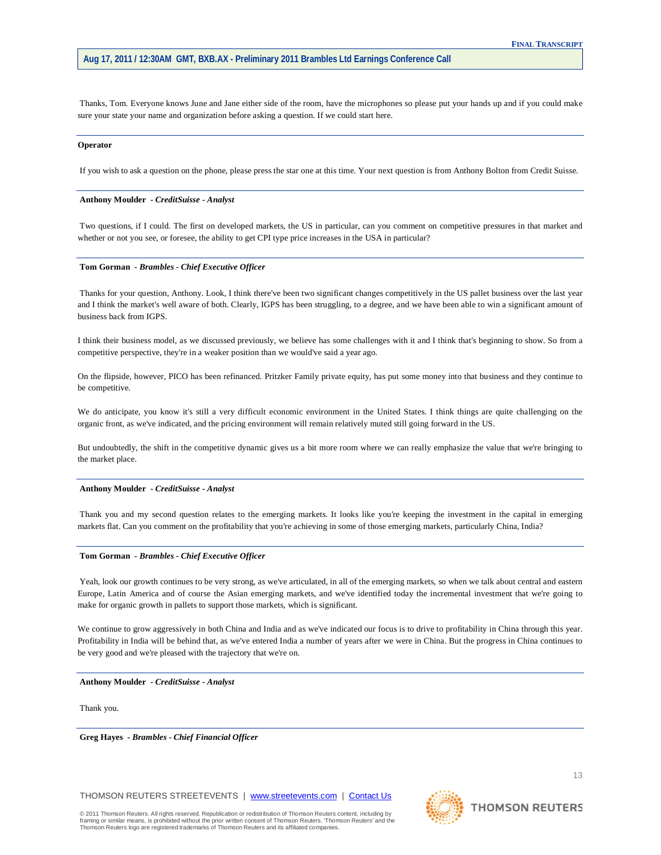Thanks, Tom. Everyone knows June and Jane either side of the room, have the microphones so please put your hands up and if you could make sure your state your name and organization before asking a question. If we could start here.

#### **Operator**

If you wish to ask a question on the phone, please press the star one at this time. Your next question is from Anthony Bolton from Credit Suisse.

#### **Anthony Moulder** *- CreditSuisse - Analyst*

Two questions, if I could. The first on developed markets, the US in particular, can you comment on competitive pressures in that market and whether or not you see, or foresee, the ability to get CPI type price increases in the USA in particular?

# **Tom Gorman** *- Brambles - Chief Executive Officer*

Thanks for your question, Anthony. Look, I think there've been two significant changes competitively in the US pallet business over the last year and I think the market's well aware of both. Clearly, IGPS has been struggling, to a degree, and we have been able to win a significant amount of business back from IGPS.

I think their business model, as we discussed previously, we believe has some challenges with it and I think that's beginning to show. So from a competitive perspective, they're in a weaker position than we would've said a year ago.

On the flipside, however, PICO has been refinanced. Pritzker Family private equity, has put some money into that business and they continue to be competitive.

We do anticipate, you know it's still a very difficult economic environment in the United States. I think things are quite challenging on the organic front, as we've indicated, and the pricing environment will remain relatively muted still going forward in the US.

But undoubtedly, the shift in the competitive dynamic gives us a bit more room where we can really emphasize the value that we're bringing to the market place.

#### **Anthony Moulder** *- CreditSuisse - Analyst*

Thank you and my second question relates to the emerging markets. It looks like you're keeping the investment in the capital in emerging markets flat. Can you comment on the profitability that you're achieving in some of those emerging markets, particularly China, India?

#### **Tom Gorman** *- Brambles - Chief Executive Officer*

Yeah, look our growth continues to be very strong, as we've articulated, in all of the emerging markets, so when we talk about central and eastern Europe, Latin America and of course the Asian emerging markets, and we've identified today the incremental investment that we're going to make for organic growth in pallets to support those markets, which is significant.

We continue to grow aggressively in both China and India and as we've indicated our focus is to drive to profitability in China through this year. Profitability in India will be behind that, as we've entered India a number of years after we were in China. But the progress in China continues to be very good and we're pleased with the trajectory that we're on.

# **Anthony Moulder** *- CreditSuisse - Analyst*

Thank you.

**Greg Hayes** *- Brambles - Chief Financial Officer* 

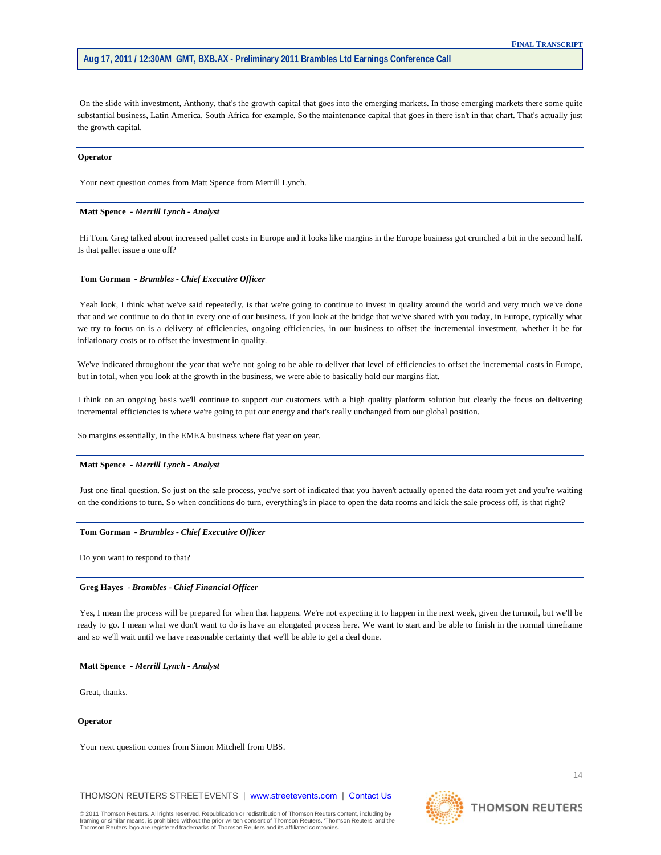On the slide with investment, Anthony, that's the growth capital that goes into the emerging markets. In those emerging markets there some quite substantial business, Latin America, South Africa for example. So the maintenance capital that goes in there isn't in that chart. That's actually just the growth capital.

#### **Operator**

Your next question comes from Matt Spence from Merrill Lynch.

# **Matt Spence** *- Merrill Lynch - Analyst*

Hi Tom. Greg talked about increased pallet costs in Europe and it looks like margins in the Europe business got crunched a bit in the second half. Is that pallet issue a one off?

# **Tom Gorman** *- Brambles - Chief Executive Officer*

Yeah look, I think what we've said repeatedly, is that we're going to continue to invest in quality around the world and very much we've done that and we continue to do that in every one of our business. If you look at the bridge that we've shared with you today, in Europe, typically what we try to focus on is a delivery of efficiencies, ongoing efficiencies, in our business to offset the incremental investment, whether it be for inflationary costs or to offset the investment in quality.

We've indicated throughout the year that we're not going to be able to deliver that level of efficiencies to offset the incremental costs in Europe, but in total, when you look at the growth in the business, we were able to basically hold our margins flat.

I think on an ongoing basis we'll continue to support our customers with a high quality platform solution but clearly the focus on delivering incremental efficiencies is where we're going to put our energy and that's really unchanged from our global position.

So margins essentially, in the EMEA business where flat year on year.

# **Matt Spence** *- Merrill Lynch - Analyst*

Just one final question. So just on the sale process, you've sort of indicated that you haven't actually opened the data room yet and you're waiting on the conditions to turn. So when conditions do turn, everything's in place to open the data rooms and kick the sale process off, is that right?

#### **Tom Gorman** *- Brambles - Chief Executive Officer*

Do you want to respond to that?

#### **Greg Hayes** *- Brambles - Chief Financial Officer*

Yes, I mean the process will be prepared for when that happens. We're not expecting it to happen in the next week, given the turmoil, but we'll be ready to go. I mean what we don't want to do is have an elongated process here. We want to start and be able to finish in the normal timeframe and so we'll wait until we have reasonable certainty that we'll be able to get a deal done.

#### **Matt Spence** *- Merrill Lynch - Analyst*

Great, thanks.

#### **Operator**

Your next question comes from Simon Mitchell from UBS.

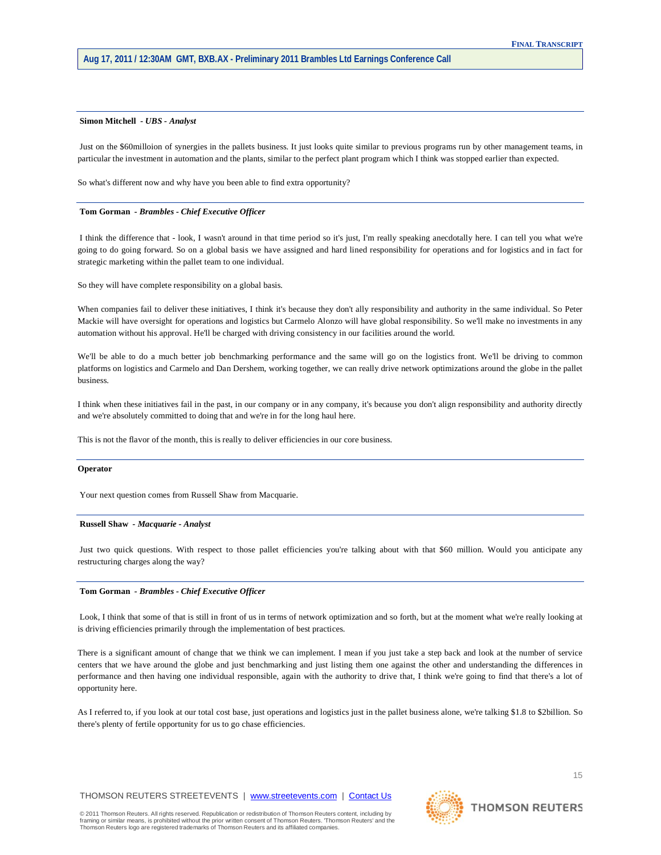#### **Simon Mitchell** *- UBS - Analyst*

Just on the \$60milloion of synergies in the pallets business. It just looks quite similar to previous programs run by other management teams, in particular the investment in automation and the plants, similar to the perfect plant program which I think was stopped earlier than expected.

So what's different now and why have you been able to find extra opportunity?

# **Tom Gorman** *- Brambles - Chief Executive Officer*

I think the difference that - look, I wasn't around in that time period so it's just, I'm really speaking anecdotally here. I can tell you what we're going to do going forward. So on a global basis we have assigned and hard lined responsibility for operations and for logistics and in fact for strategic marketing within the pallet team to one individual.

So they will have complete responsibility on a global basis.

When companies fail to deliver these initiatives, I think it's because they don't ally responsibility and authority in the same individual. So Peter Mackie will have oversight for operations and logistics but Carmelo Alonzo will have global responsibility. So we'll make no investments in any automation without his approval. He'll be charged with driving consistency in our facilities around the world.

We'll be able to do a much better job benchmarking performance and the same will go on the logistics front. We'll be driving to common platforms on logistics and Carmelo and Dan Dershem, working together, we can really drive network optimizations around the globe in the pallet business.

I think when these initiatives fail in the past, in our company or in any company, it's because you don't align responsibility and authority directly and we're absolutely committed to doing that and we're in for the long haul here.

This is not the flavor of the month, this is really to deliver efficiencies in our core business.

#### **Operator**

Your next question comes from Russell Shaw from Macquarie.

#### **Russell Shaw** *- Macquarie - Analyst*

Just two quick questions. With respect to those pallet efficiencies you're talking about with that \$60 million. Would you anticipate any restructuring charges along the way?

#### **Tom Gorman** *- Brambles - Chief Executive Officer*

Look, I think that some of that is still in front of us in terms of network optimization and so forth, but at the moment what we're really looking at is driving efficiencies primarily through the implementation of best practices.

There is a significant amount of change that we think we can implement. I mean if you just take a step back and look at the number of service centers that we have around the globe and just benchmarking and just listing them one against the other and understanding the differences in performance and then having one individual responsible, again with the authority to drive that, I think we're going to find that there's a lot of opportunity here.

As I referred to, if you look at our total cost base, just operations and logistics just in the pallet business alone, we're talking \$1.8 to \$2billion. So there's plenty of fertile opportunity for us to go chase efficiencies.

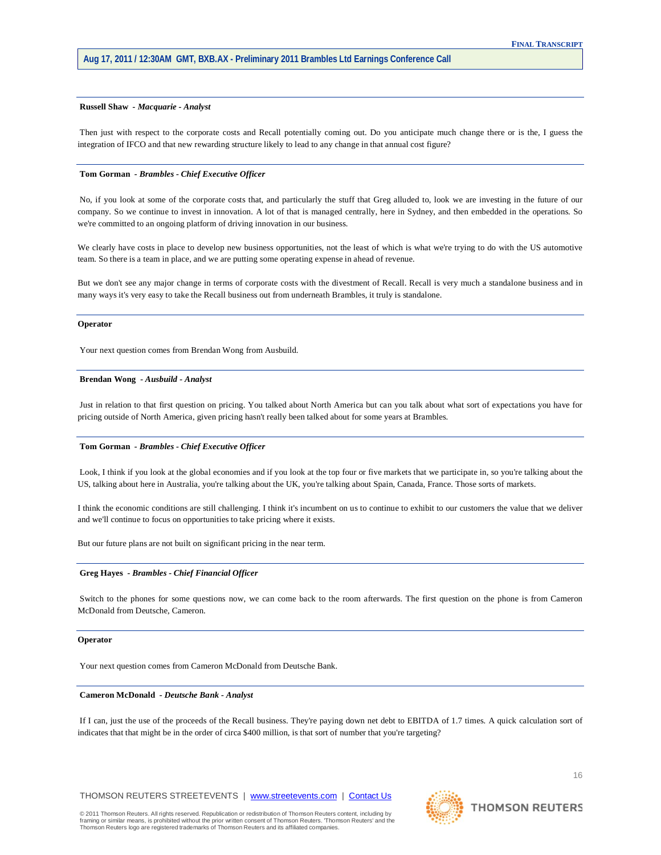### **Russell Shaw** *- Macquarie - Analyst*

Then just with respect to the corporate costs and Recall potentially coming out. Do you anticipate much change there or is the, I guess the integration of IFCO and that new rewarding structure likely to lead to any change in that annual cost figure?

# **Tom Gorman** *- Brambles - Chief Executive Officer*

No, if you look at some of the corporate costs that, and particularly the stuff that Greg alluded to, look we are investing in the future of our company. So we continue to invest in innovation. A lot of that is managed centrally, here in Sydney, and then embedded in the operations. So we're committed to an ongoing platform of driving innovation in our business.

We clearly have costs in place to develop new business opportunities, not the least of which is what we're trying to do with the US automotive team. So there is a team in place, and we are putting some operating expense in ahead of revenue.

But we don't see any major change in terms of corporate costs with the divestment of Recall. Recall is very much a standalone business and in many ways it's very easy to take the Recall business out from underneath Brambles, it truly is standalone.

#### **Operator**

Your next question comes from Brendan Wong from Ausbuild.

# **Brendan Wong** *- Ausbuild - Analyst*

Just in relation to that first question on pricing. You talked about North America but can you talk about what sort of expectations you have for pricing outside of North America, given pricing hasn't really been talked about for some years at Brambles.

#### **Tom Gorman** *- Brambles - Chief Executive Officer*

Look, I think if you look at the global economies and if you look at the top four or five markets that we participate in, so you're talking about the US, talking about here in Australia, you're talking about the UK, you're talking about Spain, Canada, France. Those sorts of markets.

I think the economic conditions are still challenging. I think it's incumbent on us to continue to exhibit to our customers the value that we deliver and we'll continue to focus on opportunities to take pricing where it exists.

But our future plans are not built on significant pricing in the near term.

#### **Greg Hayes** *- Brambles - Chief Financial Officer*

Switch to the phones for some questions now, we can come back to the room afterwards. The first question on the phone is from Cameron McDonald from Deutsche, Cameron.

#### **Operator**

Your next question comes from Cameron McDonald from Deutsche Bank.

# **Cameron McDonald** *- Deutsche Bank - Analyst*

If I can, just the use of the proceeds of the Recall business. They're paying down net debt to EBITDA of 1.7 times. A quick calculation sort of indicates that that might be in the order of circa \$400 million, is that sort of number that you're targeting?

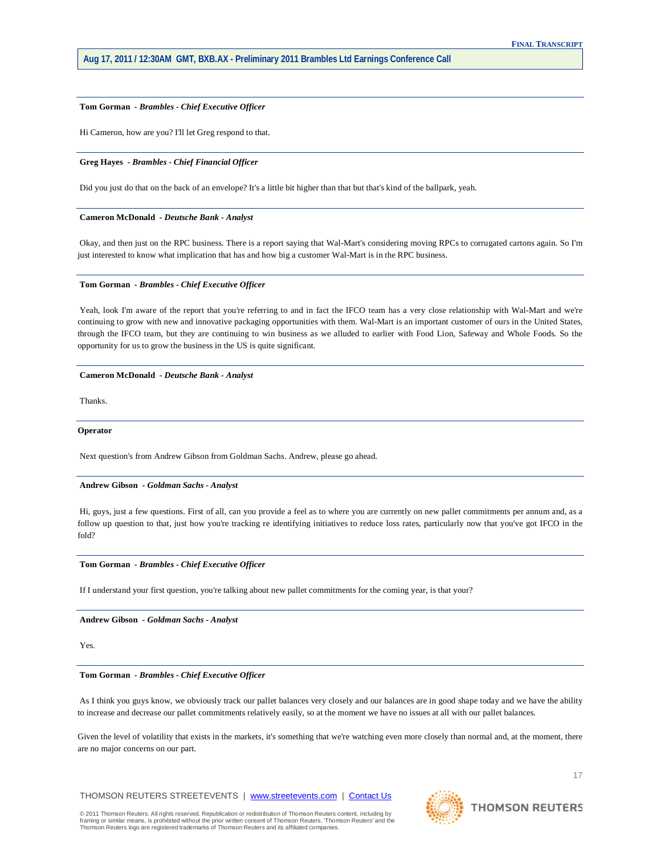# **Tom Gorman** *- Brambles - Chief Executive Officer*

Hi Cameron, how are you? I'll let Greg respond to that.

# **Greg Hayes** *- Brambles - Chief Financial Officer*

Did you just do that on the back of an envelope? It's a little bit higher than that but that's kind of the ballpark, yeah.

# **Cameron McDonald** *- Deutsche Bank - Analyst*

Okay, and then just on the RPC business. There is a report saying that Wal-Mart's considering moving RPCs to corrugated cartons again. So I'm just interested to know what implication that has and how big a customer Wal-Mart is in the RPC business.

# **Tom Gorman** *- Brambles - Chief Executive Officer*

Yeah, look I'm aware of the report that you're referring to and in fact the IFCO team has a very close relationship with Wal-Mart and we're continuing to grow with new and innovative packaging opportunities with them. Wal-Mart is an important customer of ours in the United States, through the IFCO team, but they are continuing to win business as we alluded to earlier with Food Lion, Safeway and Whole Foods. So the opportunity for us to grow the business in the US is quite significant.

#### **Cameron McDonald** *- Deutsche Bank - Analyst*

Thanks.

## **Operator**

Next question's from Andrew Gibson from Goldman Sachs. Andrew, please go ahead.

# **Andrew Gibson** *- Goldman Sachs - Analyst*

Hi, guys, just a few questions. First of all, can you provide a feel as to where you are currently on new pallet commitments per annum and, as a follow up question to that, just how you're tracking re identifying initiatives to reduce loss rates, particularly now that you've got IFCO in the fold?

# **Tom Gorman** *- Brambles - Chief Executive Officer*

If I understand your first question, you're talking about new pallet commitments for the coming year, is that your?

**Andrew Gibson** *- Goldman Sachs - Analyst* 

# Yes.

# **Tom Gorman** *- Brambles - Chief Executive Officer*

As I think you guys know, we obviously track our pallet balances very closely and our balances are in good shape today and we have the ability to increase and decrease our pallet commitments relatively easily, so at the moment we have no issues at all with our pallet balances.

Given the level of volatility that exists in the markets, it's something that we're watching even more closely than normal and, at the moment, there are no major concerns on our part.

THOMSON REUTERS STREETEVENTS | [www.streetevents.com](http://www.streetevents.com/) | [Contact Us](http://www010.streetevents.com/contact.asp)

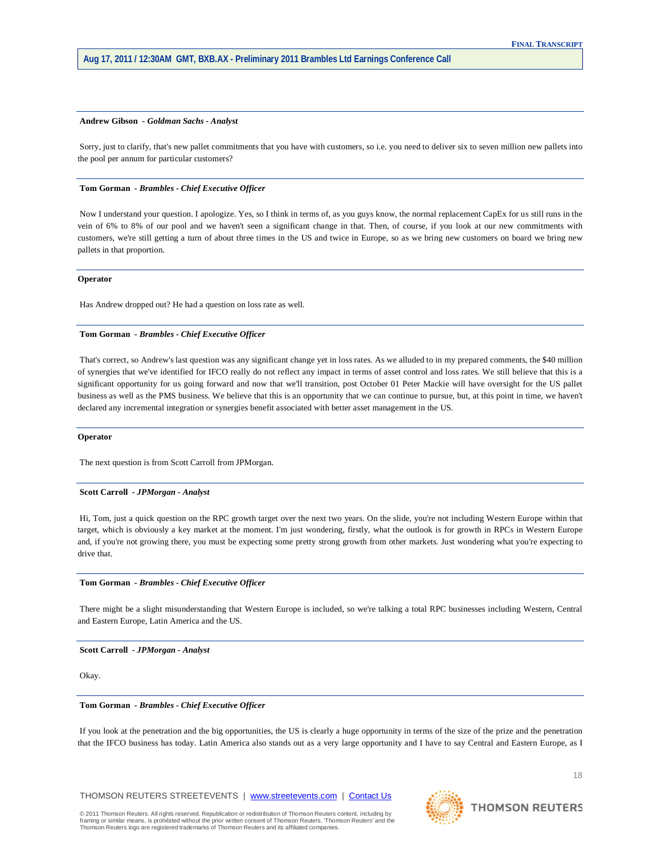#### **Andrew Gibson** *- Goldman Sachs - Analyst*

Sorry, just to clarify, that's new pallet commitments that you have with customers, so i.e. you need to deliver six to seven million new pallets into the pool per annum for particular customers?

# **Tom Gorman** *- Brambles - Chief Executive Officer*

Now I understand your question. I apologize. Yes, so I think in terms of, as you guys know, the normal replacement CapEx for us still runs in the vein of 6% to 8% of our pool and we haven't seen a significant change in that. Then, of course, if you look at our new commitments with customers, we're still getting a turn of about three times in the US and twice in Europe, so as we bring new customers on board we bring new pallets in that proportion.

# **Operator**

Has Andrew dropped out? He had a question on loss rate as well.

# **Tom Gorman** *- Brambles - Chief Executive Officer*

That's correct, so Andrew's last question was any significant change yet in loss rates. As we alluded to in my prepared comments, the \$40 million of synergies that we've identified for IFCO really do not reflect any impact in terms of asset control and loss rates. We still believe that this is a significant opportunity for us going forward and now that we'll transition, post October 01 Peter Mackie will have oversight for the US pallet business as well as the PMS business. We believe that this is an opportunity that we can continue to pursue, but, at this point in time, we haven't declared any incremental integration or synergies benefit associated with better asset management in the US.

# **Operator**

The next question is from Scott Carroll from JPMorgan.

# **Scott Carroll** *- JPMorgan - Analyst*

Hi, Tom, just a quick question on the RPC growth target over the next two years. On the slide, you're not including Western Europe within that target, which is obviously a key market at the moment. I'm just wondering, firstly, what the outlook is for growth in RPCs in Western Europe and, if you're not growing there, you must be expecting some pretty strong growth from other markets. Just wondering what you're expecting to drive that.

#### **Tom Gorman** *- Brambles - Chief Executive Officer*

There might be a slight misunderstanding that Western Europe is included, so we're talking a total RPC businesses including Western, Central and Eastern Europe, Latin America and the US.

#### **Scott Carroll** *- JPMorgan - Analyst*

Okay.

#### **Tom Gorman** *- Brambles - Chief Executive Officer*

If you look at the penetration and the big opportunities, the US is clearly a huge opportunity in terms of the size of the prize and the penetration that the IFCO business has today. Latin America also stands out as a very large opportunity and I have to say Central and Eastern Europe, as I

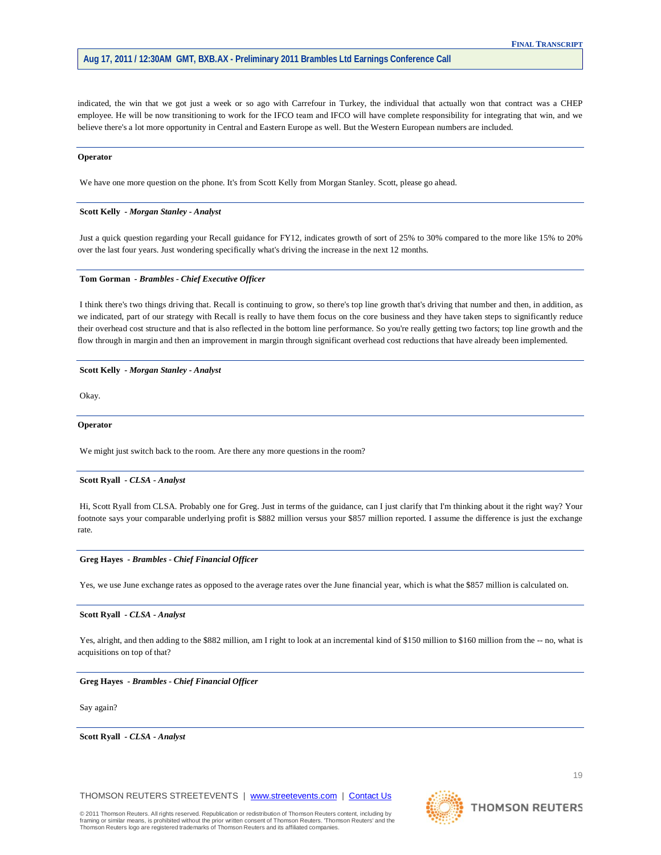indicated, the win that we got just a week or so ago with Carrefour in Turkey, the individual that actually won that contract was a CHEP employee. He will be now transitioning to work for the IFCO team and IFCO will have complete responsibility for integrating that win, and we believe there's a lot more opportunity in Central and Eastern Europe as well. But the Western European numbers are included.

#### **Operator**

We have one more question on the phone. It's from Scott Kelly from Morgan Stanley. Scott, please go ahead.

# **Scott Kelly** *- Morgan Stanley - Analyst*

Just a quick question regarding your Recall guidance for FY12, indicates growth of sort of 25% to 30% compared to the more like 15% to 20% over the last four years. Just wondering specifically what's driving the increase in the next 12 months.

# **Tom Gorman** *- Brambles - Chief Executive Officer*

I think there's two things driving that. Recall is continuing to grow, so there's top line growth that's driving that number and then, in addition, as we indicated, part of our strategy with Recall is really to have them focus on the core business and they have taken steps to significantly reduce their overhead cost structure and that is also reflected in the bottom line performance. So you're really getting two factors; top line growth and the flow through in margin and then an improvement in margin through significant overhead cost reductions that have already been implemented.

#### **Scott Kelly** *- Morgan Stanley - Analyst*

Okay.

# **Operator**

We might just switch back to the room. Are there any more questions in the room?

# **Scott Ryall** *- CLSA - Analyst*

Hi, Scott Ryall from CLSA. Probably one for Greg. Just in terms of the guidance, can I just clarify that I'm thinking about it the right way? Your footnote says your comparable underlying profit is \$882 million versus your \$857 million reported. I assume the difference is just the exchange rate.

# **Greg Hayes** *- Brambles - Chief Financial Officer*

Yes, we use June exchange rates as opposed to the average rates over the June financial year, which is what the \$857 million is calculated on.

#### **Scott Ryall** *- CLSA - Analyst*

Yes, alright, and then adding to the \$882 million, am I right to look at an incremental kind of \$150 million to \$160 million from the -- no, what is acquisitions on top of that?

# **Greg Hayes** *- Brambles - Chief Financial Officer*

Say again?

**Scott Ryall** *- CLSA - Analyst* 

THOMSON REUTERS STREETEVENTS | [www.streetevents.com](http://www.streetevents.com/) | [Contact Us](http://www010.streetevents.com/contact.asp)



19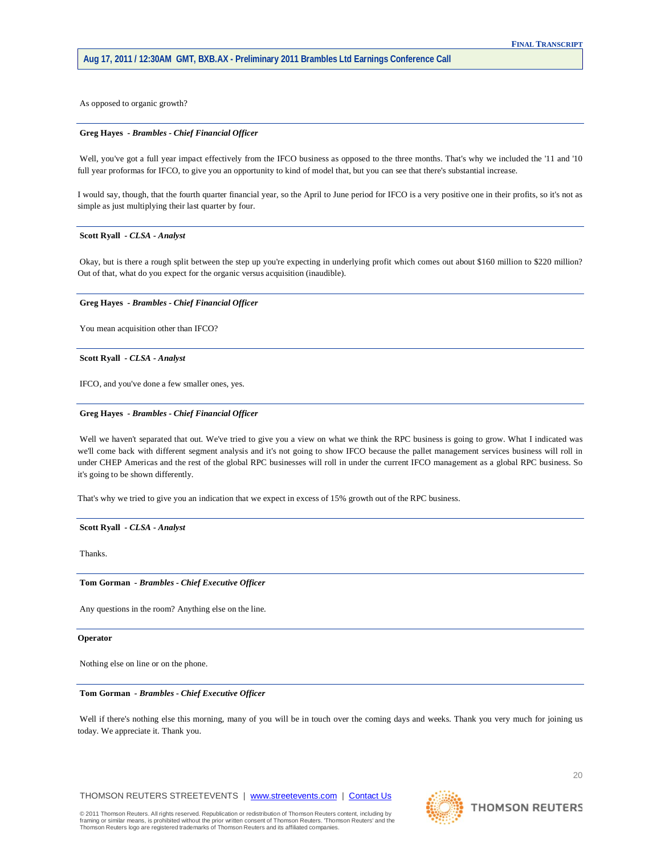As opposed to organic growth?

#### **Greg Hayes** *- Brambles - Chief Financial Officer*

Well, you've got a full year impact effectively from the IFCO business as opposed to the three months. That's why we included the '11 and '10 full year proformas for IFCO, to give you an opportunity to kind of model that, but you can see that there's substantial increase.

I would say, though, that the fourth quarter financial year, so the April to June period for IFCO is a very positive one in their profits, so it's not as simple as just multiplying their last quarter by four.

# **Scott Ryall** *- CLSA - Analyst*

Okay, but is there a rough split between the step up you're expecting in underlying profit which comes out about \$160 million to \$220 million? Out of that, what do you expect for the organic versus acquisition (inaudible).

# **Greg Hayes** *- Brambles - Chief Financial Officer*

You mean acquisition other than IFCO?

# **Scott Ryall** *- CLSA - Analyst*

IFCO, and you've done a few smaller ones, yes.

#### **Greg Hayes** *- Brambles - Chief Financial Officer*

Well we haven't separated that out. We've tried to give you a view on what we think the RPC business is going to grow. What I indicated was we'll come back with different segment analysis and it's not going to show IFCO because the pallet management services business will roll in under CHEP Americas and the rest of the global RPC businesses will roll in under the current IFCO management as a global RPC business. So it's going to be shown differently.

That's why we tried to give you an indication that we expect in excess of 15% growth out of the RPC business.

**Scott Ryall** *- CLSA - Analyst* 

Thanks.

#### **Tom Gorman** *- Brambles - Chief Executive Officer*

Any questions in the room? Anything else on the line.

**Operator**

Nothing else on line or on the phone.

# **Tom Gorman** *- Brambles - Chief Executive Officer*

Well if there's nothing else this morning, many of you will be in touch over the coming days and weeks. Thank you very much for joining us today. We appreciate it. Thank you.